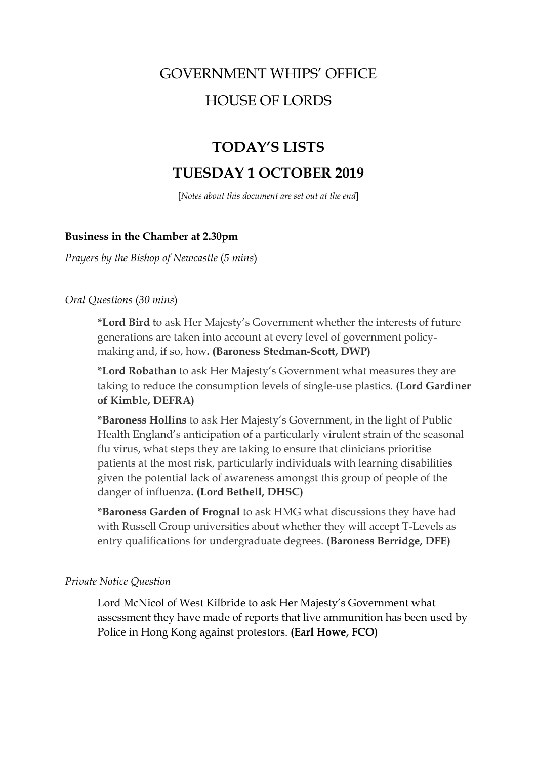# GOVERNMENT WHIPS' OFFICE HOUSE OF LORDS

## **TODAY'S LISTS TUESDAY 1 OCTOBER 2019**

[*Notes about this document are set out at the end*]

## **Business in the Chamber at 2.30pm**

*Prayers by the Bishop of Newcastle* (*5 mins*)

*Oral Questions* (*30 mins*)

**\*Lord Bird** to ask Her Majesty's Government whether the interests of future generations are taken into account at every level of government policymaking and, if so, how**. (Baroness Stedman-Scott, DWP)**

**\*Lord Robathan** to ask Her Majesty's Government what measures they are taking to reduce the consumption levels of single-use plastics. **(Lord Gardiner of Kimble, DEFRA)**

**\*Baroness Hollins** to ask Her Majesty's Government, in the light of Public Health England's anticipation of a particularly virulent strain of the seasonal flu virus, what steps they are taking to ensure that clinicians prioritise patients at the most risk, particularly individuals with learning disabilities given the potential lack of awareness amongst this group of people of the danger of influenza**. (Lord Bethell, DHSC)**

**\*Baroness Garden of Frognal** to ask HMG what discussions they have had with Russell Group universities about whether they will accept T-Levels as entry qualifications for undergraduate degrees. **(Baroness Berridge, DFE)**

#### *Private Notice Question*

Lord McNicol of West Kilbride to ask Her Majesty's Government what assessment they have made of reports that live ammunition has been used by Police in Hong Kong against protestors. **(Earl Howe, FCO)**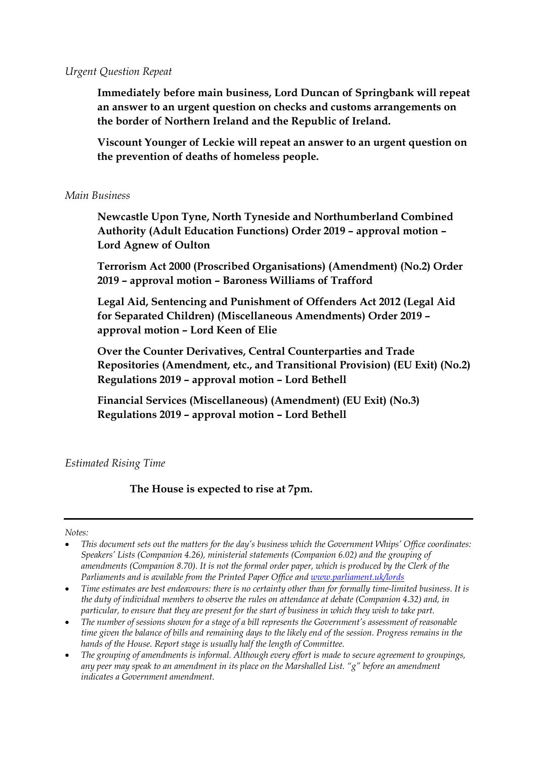#### *Urgent Question Repeat*

**Immediately before main business, Lord Duncan of Springbank will repeat an answer to an urgent question on checks and customs arrangements on the border of Northern Ireland and the Republic of Ireland.** 

**Viscount Younger of Leckie will repeat an answer to an urgent question on the prevention of deaths of homeless people.** 

## *Main Business*

**Newcastle Upon Tyne, North Tyneside and Northumberland Combined Authority (Adult Education Functions) Order 2019 – approval motion – Lord Agnew of Oulton**

**Terrorism Act 2000 (Proscribed Organisations) (Amendment) (No.2) Order 2019 – approval motion – Baroness Williams of Trafford**

**Legal Aid, Sentencing and Punishment of Offenders Act 2012 (Legal Aid for Separated Children) (Miscellaneous Amendments) Order 2019 – approval motion – Lord Keen of Elie** 

**Over the Counter Derivatives, Central Counterparties and Trade Repositories (Amendment, etc., and Transitional Provision) (EU Exit) (No.2) Regulations 2019 – approval motion – Lord Bethell**

**Financial Services (Miscellaneous) (Amendment) (EU Exit) (No.3) Regulations 2019 – approval motion – Lord Bethell** 

## *Estimated Rising Time*

**The House is expected to rise at 7pm.** 

*Notes:*

- *Time estimates are best endeavours: there is no certainty other than for formally time-limited business. It is the duty of individual members to observe the rules on attendance at debate (Companion 4.32) and, in particular, to ensure that they are present for the start of business in which they wish to take part.*
- *The number of sessions shown for a stage of a bill represents the Government's assessment of reasonable time given the balance of bills and remaining days to the likely end of the session. Progress remains in the hands of the House. Report stage is usually half the length of Committee.*
- *The grouping of amendments is informal. Although every effort is made to secure agreement to groupings, any peer may speak to an amendment in its place on the Marshalled List. "g" before an amendment indicates a Government amendment.*

<sup>•</sup> *This document sets out the matters for the day's business which the Government Whips' Office coordinates: Speakers' Lists (Companion 4.26), ministerial statements (Companion 6.02) and the grouping of amendments (Companion 8.70). It is not the formal order paper, which is produced by the Clerk of the Parliaments and is available from the Printed Paper Office an[d www.parliament.uk/lords](file://///hpap04f/HOLAdmin_Rdf$/mackersieaj/Documents/AJM%20Documents/GWO%20Templates/Models/www.parliament.uk/lords)*